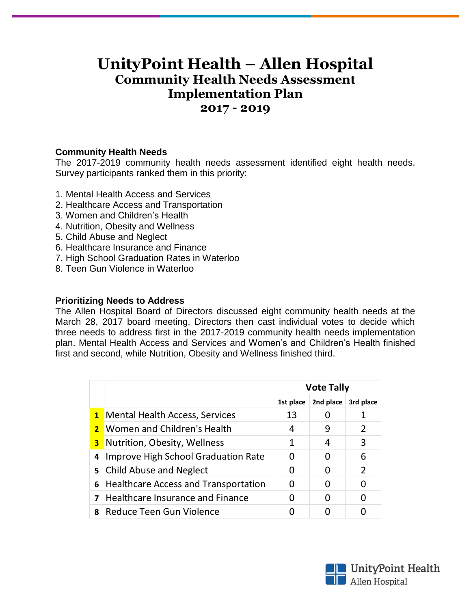## **UnityPoint Health – Allen Hospital Community Health Needs Assessment Implementation Plan 2017 - 2019**

## **Community Health Needs**

The 2017-2019 community health needs assessment identified eight health needs. Survey participants ranked them in this priority:

- 1. Mental Health Access and Services
- 2. Healthcare Access and Transportation
- 3. Women and Children's Health
- 4. Nutrition, Obesity and Wellness
- 5. Child Abuse and Neglect
- 6. Healthcare Insurance and Finance
- 7. High School Graduation Rates in Waterloo
- 8. Teen Gun Violence in Waterloo

## **Prioritizing Needs to Address**

The Allen Hospital Board of Directors discussed eight community health needs at the March 28, 2017 board meeting. Directors then cast individual votes to decide which three needs to address first in the 2017-2019 community health needs implementation plan. Mental Health Access and Services and Women's and Children's Health finished first and second, while Nutrition, Obesity and Wellness finished third.

|                |                                             | <b>Vote Tally</b> |           |               |
|----------------|---------------------------------------------|-------------------|-----------|---------------|
|                |                                             | 1st place         | 2nd place | 3rd place     |
|                | <b>1</b> Mental Health Access, Services     | 13                |           |               |
|                | 2 Women and Children's Health               | 4                 |           | $\mathcal{L}$ |
|                | <b>3</b> Nutrition, Obesity, Wellness       |                   | 4         | 3             |
| 4              | Improve High School Graduation Rate         |                   |           | 6             |
|                | 5 Child Abuse and Neglect                   | O                 |           | $\mathcal{L}$ |
| 6              | <b>Healthcare Access and Transportation</b> |                   |           |               |
| $\overline{ }$ | <b>Healthcare Insurance and Finance</b>     |                   |           | O             |
|                | 8 Reduce Teen Gun Violence                  |                   |           |               |